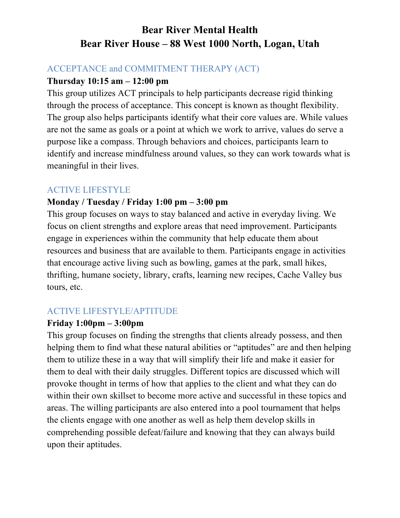# **Bear River Mental Health Bear River House – 88 West 1000 North, Logan, Utah**

### ACCEPTANCE and COMMITMENT THERAPY (ACT)

### **Thursday 10:15 am – 12:00 pm**

This group utilizes ACT principals to help participants decrease rigid thinking through the process of acceptance. This concept is known as thought flexibility. The group also helps participants identify what their core values are. While values are not the same as goals or a point at which we work to arrive, values do serve a purpose like a compass. Through behaviors and choices, participants learn to identify and increase mindfulness around values, so they can work towards what is meaningful in their lives.

# ACTIVE LIFESTYLE

### **Monday / Tuesday / Friday 1:00 pm – 3:00 pm**

This group focuses on ways to stay balanced and active in everyday living. We focus on client strengths and explore areas that need improvement. Participants engage in experiences within the community that help educate them about resources and business that are available to them. Participants engage in activities that encourage active living such as bowling, games at the park, small hikes, thrifting, humane society, library, crafts, learning new recipes, Cache Valley bus tours, etc.

# ACTIVE LIFESTYLE/APTITUDE

# **Friday 1:00pm – 3:00pm**

This group focuses on finding the strengths that clients already possess, and then helping them to find what these natural abilities or "aptitudes" are and then helping them to utilize these in a way that will simplify their life and make it easier for them to deal with their daily struggles. Different topics are discussed which will provoke thought in terms of how that applies to the client and what they can do within their own skillset to become more active and successful in these topics and areas. The willing participants are also entered into a pool tournament that helps the clients engage with one another as well as help them develop skills in comprehending possible defeat/failure and knowing that they can always build upon their aptitudes.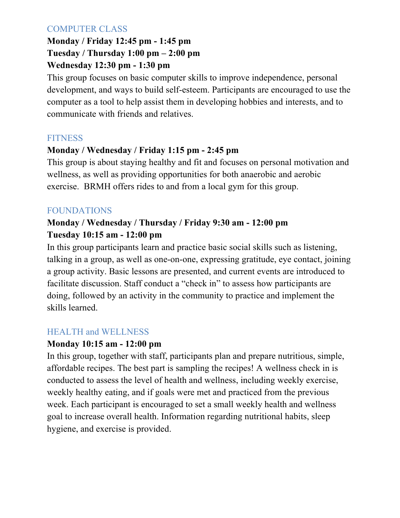# COMPUTER CLASS

# **Monday / Friday 12:45 pm - 1:45 pm Tuesday / Thursday 1:00 pm – 2:00 pm Wednesday 12:30 pm - 1:30 pm**

This group focuses on basic computer skills to improve independence, personal development, and ways to build self-esteem. Participants are encouraged to use the computer as a tool to help assist them in developing hobbies and interests, and to communicate with friends and relatives.

# **FITNESS**

# **Monday / Wednesday / Friday 1:15 pm - 2:45 pm**

This group is about staying healthy and fit and focuses on personal motivation and wellness, as well as providing opportunities for both anaerobic and aerobic exercise. BRMH offers rides to and from a local gym for this group.

# FOUNDATIONS

# **Monday / Wednesday / Thursday / Friday 9:30 am - 12:00 pm Tuesday 10:15 am - 12:00 pm**

In this group participants learn and practice basic social skills such as listening, talking in a group, as well as one-on-one, expressing gratitude, eye contact, joining a group activity. Basic lessons are presented, and current events are introduced to facilitate discussion. Staff conduct a "check in" to assess how participants are doing, followed by an activity in the community to practice and implement the skills learned.

# HEALTH and WELLNESS

# **Monday 10:15 am - 12:00 pm**

In this group, together with staff, participants plan and prepare nutritious, simple, affordable recipes. The best part is sampling the recipes! A wellness check in is conducted to assess the level of health and wellness, including weekly exercise, weekly healthy eating, and if goals were met and practiced from the previous week. Each participant is encouraged to set a small weekly health and wellness goal to increase overall health. Information regarding nutritional habits, sleep hygiene, and exercise is provided.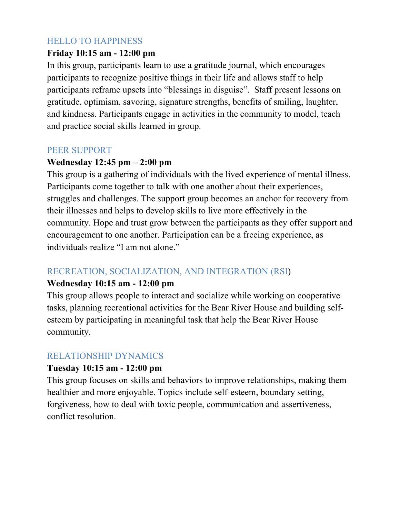### HELLO TO HAPPINESS

#### **Friday 10:15 am - 12:00 pm**

In this group, participants learn to use a gratitude journal, which encourages participants to recognize positive things in their life and allows staff to help participants reframe upsets into "blessings in disguise". Staff present lessons on gratitude, optimism, savoring, signature strengths, benefits of smiling, laughter, and kindness. Participants engage in activities in the community to model, teach and practice social skills learned in group.

#### PEER SUPPORT

#### **Wednesday 12:45 pm – 2:00 pm**

This group is a gathering of individuals with the lived experience of mental illness. Participants come together to talk with one another about their experiences, struggles and challenges. The support group becomes an anchor for recovery from their illnesses and helps to develop skills to live more effectively in the community. Hope and trust grow between the participants as they offer support and encouragement to one another. Participation can be a freeing experience, as individuals realize "I am not alone."

# RECREATION, SOCIALIZATION, AND INTEGRATION (RSI)

#### **Wednesday 10:15 am - 12:00 pm**

This group allows people to interact and socialize while working on cooperative tasks, planning recreational activities for the Bear River House and building selfesteem by participating in meaningful task that help the Bear River House community.

#### RELATIONSHIP DYNAMICS

#### **Tuesday 10:15 am - 12:00 pm**

This group focuses on skills and behaviors to improve relationships, making them healthier and more enjoyable. Topics include self-esteem, boundary setting, forgiveness, how to deal with toxic people, communication and assertiveness, conflict resolution.